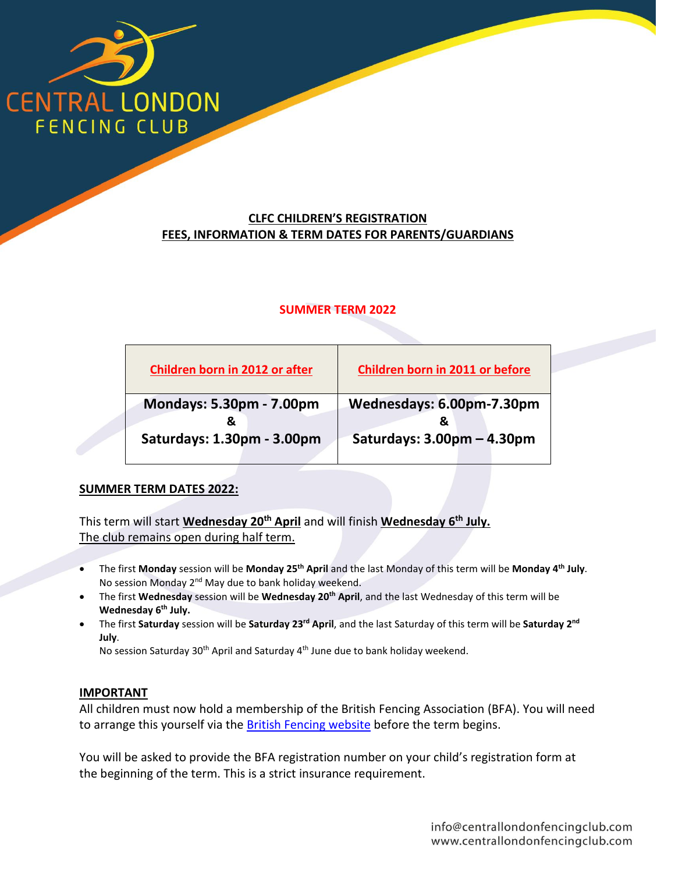

# **CLFC CHILDREN'S REGISTRATION FEES, INFORMATION & TERM DATES FOR PARENTS/GUARDIANS**

### **SUMMER TERM 2022**

| Children born in 2011 or before |
|---------------------------------|
| Wednesdays: 6.00pm-7.30pm       |
|                                 |
| Saturdays: 3.00pm - 4.30pm      |
|                                 |

### **SUMMER TERM DATES 2022:**

This term will start **Wednesday 20th April** and will finish **Wednesday 6 th July.** The club remains open during half term.

- The first **Monday** session will be **Monday 25th April** and the last Monday of this term will be **Monday 4 th July**. No session Monday 2<sup>nd</sup> May due to bank holiday weekend.
- The first **Wednesday** session will be **Wednesday 20th April**, and the last Wednesday of this term will be **Wednesday 6 th July.**
- The first **Saturday** session will be **Saturday 23rd April**, and the last Saturday of this term will be **Saturday 2 nd July**.

No session Saturday 30<sup>th</sup> April and Saturday 4<sup>th</sup> June due to bank holiday weekend.

#### **IMPORTANT**

All children must now hold a membership of the British Fencing Association (BFA). You will need to arrange this yourself via th[e British Fencing website](https://www.britishfencing.com/additional-membership-information/) before the term begins.

You will be asked to provide the BFA registration number on your child's registration form at the beginning of the term. This is a strict insurance requirement.